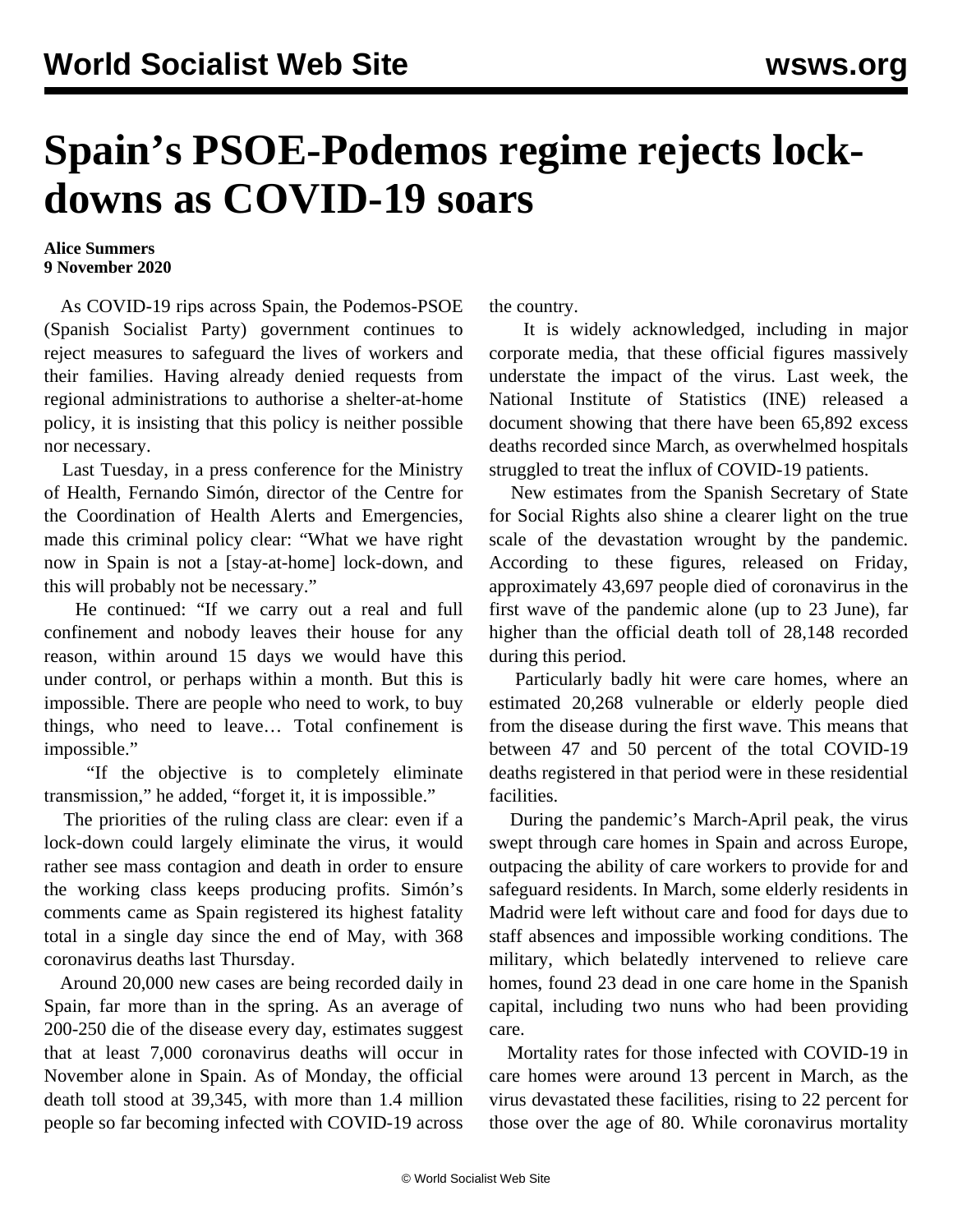## **Spain's PSOE-Podemos regime rejects lockdowns as COVID-19 soars**

## **Alice Summers 9 November 2020**

 As COVID-19 rips across Spain, the Podemos-PSOE (Spanish Socialist Party) government continues to reject measures to safeguard the lives of workers and their families. Having already [denied requests](/en/articles/2020/11/03/spai-n03.html) from regional administrations to authorise a shelter-at-home policy, it is insisting that this policy is neither possible nor necessary.

 Last Tuesday, in a press conference for the Ministry of Health, Fernando Simón, director of the Centre for the Coordination of Health Alerts and Emergencies, made this criminal policy clear: "What we have right now in Spain is not a [stay-at-home] lock-down, and this will probably not be necessary."

 He continued: "If we carry out a real and full confinement and nobody leaves their house for any reason, within around 15 days we would have this under control, or perhaps within a month. But this is impossible. There are people who need to work, to buy things, who need to leave… Total confinement is impossible."

 "If the objective is to completely eliminate transmission," he added, "forget it, it is impossible."

 The priorities of the ruling class are clear: even if a lock-down could largely eliminate the virus, it would rather see mass contagion and death in order to ensure the working class keeps producing profits. Simón's comments came as Spain registered its highest fatality total in a single day since the end of May, with 368 coronavirus deaths last Thursday.

 Around 20,000 new cases are being recorded daily in Spain, far more than in the spring. As an average of 200-250 die of the disease every day, estimates suggest that at least 7,000 coronavirus deaths will occur in November alone in Spain. As of Monday, the official death toll stood at 39,345, with more than 1.4 million people so far becoming infected with COVID-19 across

the country.

 It is widely acknowledged, including in major corporate media, that these official figures massively understate the impact of the virus. Last week, the National Institute of Statistics (INE) released a document showing that there have been 65,892 excess deaths recorded since March, as overwhelmed hospitals struggled to treat the influx of COVID-19 patients.

 New estimates from the Spanish Secretary of State for Social Rights also shine a clearer light on the true scale of the devastation wrought by the pandemic. According to these figures, released on Friday, approximately 43,697 people died of coronavirus in the first wave of the pandemic alone (up to 23 June), far higher than the official death toll of 28,148 recorded during this period.

 Particularly badly hit were care homes, where an estimated 20,268 vulnerable or elderly people died from the disease during the first wave. This means that between 47 and 50 percent of the total COVID-19 deaths registered in that period were in these residential facilities.

 During the pandemic's March-April peak, the virus swept through care homes in Spain and across Europe, outpacing the ability of care workers to provide for and safeguard residents. In March, some elderly residents in Madrid were left without care and food for days due to staff absences and impossible working conditions. The military, which belatedly intervened to relieve care homes, found 23 dead in one care home in the Spanish capital, including two nuns who had been providing care.

 Mortality rates for those infected with COVID-19 in care homes were around 13 percent in March, as the virus devastated these facilities, rising to 22 percent for those over the age of 80. While coronavirus mortality